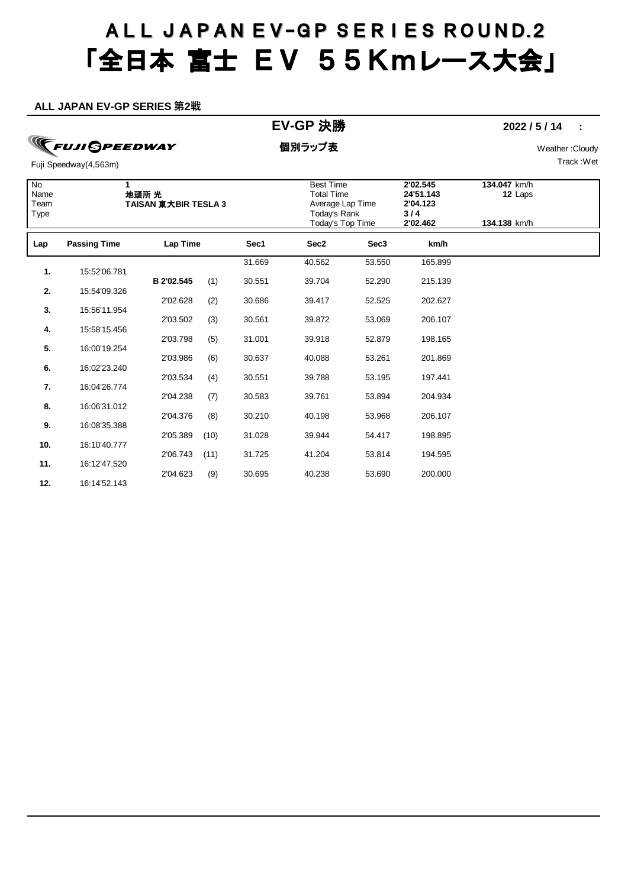#### **ALL JAPAN EV-GP SERIES 第2戦**

## **TFUJI GPEEDWAY**

### **EV-GP** 決勝 **2022 / 5 / 14 :**

個別ラップ表 Weather :Cloudy Track :Wet

| No<br>Name<br>Team<br>Type | 1                   | 地頭所 光<br><b>TAISAN 東大BIR TESLA 3</b> |      |        | <b>Best Time</b><br>Total Time<br>Average Lap Time<br>Today's Rank<br>Today's Top Time |                  | 2'02.545<br>24'51.143<br>2'04.123<br>3/4<br>2'02.462 | 134.047 km/h<br>12 Laps<br>134.138 km/h |  |
|----------------------------|---------------------|--------------------------------------|------|--------|----------------------------------------------------------------------------------------|------------------|------------------------------------------------------|-----------------------------------------|--|
| Lap                        | <b>Passing Time</b> | Lap Time                             |      | Sec1   | Sec2                                                                                   | Sec <sub>3</sub> | km/h                                                 |                                         |  |
| 1.                         | 15:52'06.781        |                                      |      | 31.669 | 40.562                                                                                 | 53.550           | 165.899                                              |                                         |  |
| 2.                         | 15:54'09.326        | B 2'02.545                           | (1)  | 30.551 | 39.704                                                                                 | 52.290           | 215.139                                              |                                         |  |
| 3.                         | 15:56'11.954        | 2'02.628                             | (2)  | 30.686 | 39.417                                                                                 | 52.525           | 202.627                                              |                                         |  |
| 4.                         | 15:58'15.456        | 2'03.502                             | (3)  | 30.561 | 39.872                                                                                 | 53.069           | 206.107                                              |                                         |  |
| 5.                         | 16:00'19.254        | 2'03.798                             | (5)  | 31.001 | 39.918                                                                                 | 52.879           | 198.165                                              |                                         |  |
| 6.                         | 16:02'23.240        | 2'03.986                             | (6)  | 30.637 | 40.088                                                                                 | 53.261           | 201.869                                              |                                         |  |
| 7.                         | 16:04'26.774        | 2'03.534                             | (4)  | 30.551 | 39.788                                                                                 | 53.195           | 197.441                                              |                                         |  |
| 8.                         | 16:06'31.012        | 2'04.238                             | (7)  | 30.583 | 39.761                                                                                 | 53.894           | 204.934                                              |                                         |  |
| 9.                         | 16:08'35.388        | 2'04.376                             | (8)  | 30.210 | 40.198                                                                                 | 53.968           | 206.107                                              |                                         |  |
| 10.                        | 16:10'40.777        | 2'05.389                             | (10) | 31.028 | 39.944                                                                                 | 54.417           | 198.895                                              |                                         |  |
| 11.                        | 16:12'47.520        | 2'06.743                             | (11) | 31.725 | 41.204                                                                                 | 53.814           | 194.595                                              |                                         |  |
| 12.                        | 16:14'52.143        | 2'04.623                             | (9)  | 30.695 | 40.238                                                                                 | 53.690           | 200.000                                              |                                         |  |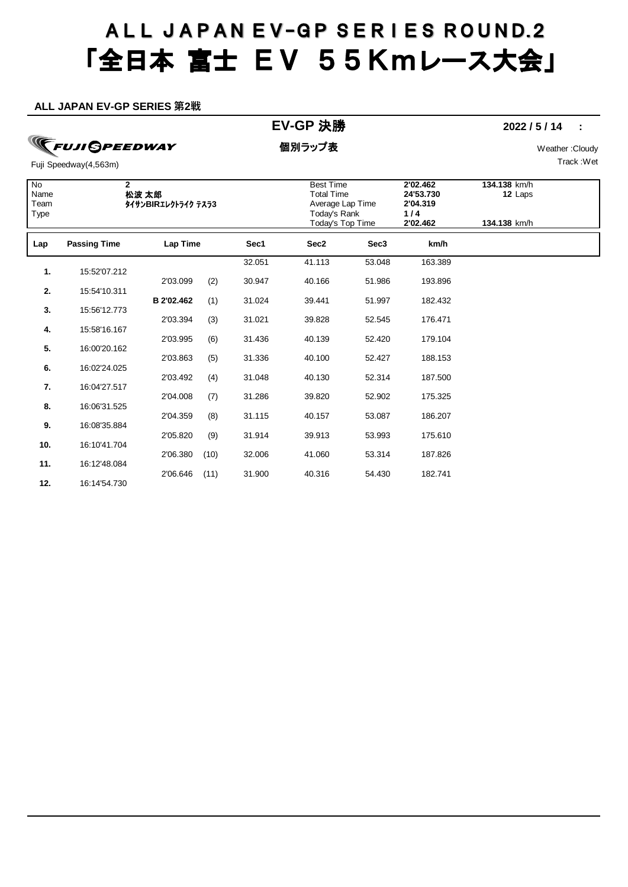#### **ALL JAPAN EV-GP SERIES 第2戦**

### **EV-GP** 決勝 **2022 / 5 / 14 :**

## **TFUJI GPEEDWAY**

個別ラップ表 Weather :Cloudy

Track :Wet

| $\overline{N}$<br>Name<br>Team<br>Type | $\mathbf{2}$        | 松波 太郎<br>タイサンBIRエレクトライク テスラ3 |      |        | <b>Best Time</b><br><b>Total Time</b><br>Average Lap Time<br>Today's Rank<br>Today's Top Time |                  | 2'02.462<br>24'53.730<br>2'04.319<br>$1/4$<br>2'02.462 | 134.138 km/h<br>12 Laps<br>134.138 km/h |  |
|----------------------------------------|---------------------|------------------------------|------|--------|-----------------------------------------------------------------------------------------------|------------------|--------------------------------------------------------|-----------------------------------------|--|
| Lap                                    | <b>Passing Time</b> | Lap Time                     |      | Sec1   | Sec2                                                                                          | Sec <sub>3</sub> | km/h                                                   |                                         |  |
| 1.                                     | 15:52'07.212        |                              |      | 32.051 | 41.113                                                                                        | 53.048           | 163.389                                                |                                         |  |
|                                        |                     | 2'03.099                     | (2)  | 30.947 | 40.166                                                                                        | 51.986           | 193.896                                                |                                         |  |
| 2.                                     | 15:54'10.311        | B 2'02.462                   | (1)  | 31.024 | 39.441                                                                                        | 51.997           | 182.432                                                |                                         |  |
| 3.                                     | 15:56'12.773        | 2'03.394                     |      | 31.021 | 39.828                                                                                        | 52.545           | 176.471                                                |                                         |  |
| 4.                                     | 15:58'16.167        |                              | (3)  |        |                                                                                               |                  |                                                        |                                         |  |
| 5.                                     | 16:00'20.162        | 2'03.995                     | (6)  | 31.436 | 40.139                                                                                        | 52.420           | 179.104                                                |                                         |  |
|                                        |                     | 2'03.863                     | (5)  | 31.336 | 40.100                                                                                        | 52.427           | 188.153                                                |                                         |  |
| 6.                                     | 16:02'24.025        | 2'03.492                     | (4)  | 31.048 | 40.130                                                                                        | 52.314           | 187.500                                                |                                         |  |
| 7.                                     | 16:04'27.517        |                              |      |        |                                                                                               |                  |                                                        |                                         |  |
| 8.                                     | 16:06'31.525        | 2'04.008                     | (7)  | 31.286 | 39.820                                                                                        | 52.902           | 175.325                                                |                                         |  |
|                                        |                     | 2'04.359                     | (8)  | 31.115 | 40.157                                                                                        | 53.087           | 186.207                                                |                                         |  |
| 9.                                     | 16:08'35.884        | 2'05.820                     | (9)  | 31.914 | 39.913                                                                                        | 53.993           | 175.610                                                |                                         |  |
| 10.                                    | 16:10'41.704        |                              |      |        |                                                                                               |                  |                                                        |                                         |  |
| 11.                                    | 16:12'48.084        | 2'06.380                     | (10) | 32.006 | 41.060                                                                                        | 53.314           | 187.826                                                |                                         |  |
| 12.                                    | 16:14'54.730        | 2'06.646                     | (11) | 31.900 | 40.316                                                                                        | 54.430           | 182.741                                                |                                         |  |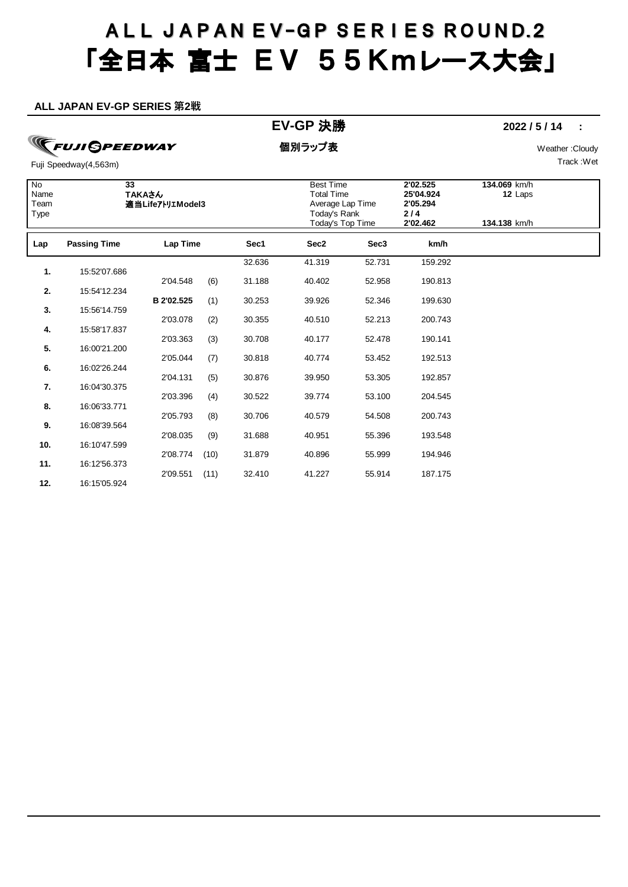#### **ALL JAPAN EV-GP SERIES 第2戦**

### **EV-GP** 決勝 **2022 / 5 / 14 :**

**TFUJI GPEEDWAY** 

個別ラップ表 Weather :Cloudy

Track :Wet

| $\overline{N}$<br>Name<br>Team<br>Type | $\overline{33}$     | ΤΑΚΑさん<br>適当LifeアトリエModel3 |      |        | <b>Best Time</b><br><b>Total Time</b><br>Average Lap Time<br>Today's Rank<br>Today's Top Time |                  | 2'02.525<br>25'04.924<br>2'05.294<br>$2/4$<br>2'02.462 | 134.069 km/h<br>12 Laps<br>134.138 km/h |  |
|----------------------------------------|---------------------|----------------------------|------|--------|-----------------------------------------------------------------------------------------------|------------------|--------------------------------------------------------|-----------------------------------------|--|
| Lap                                    | <b>Passing Time</b> | Lap Time                   |      | Sec1   | Sec2                                                                                          | Sec <sub>3</sub> | km/h                                                   |                                         |  |
| 1.                                     | 15:52'07.686        |                            |      | 32.636 | 41.319                                                                                        | 52.731           | 159.292                                                |                                         |  |
|                                        |                     | 2'04.548                   | (6)  | 31.188 | 40.402                                                                                        | 52.958           | 190.813                                                |                                         |  |
| 2.                                     | 15:54'12.234        | B 2'02.525                 | (1)  | 30.253 | 39.926                                                                                        | 52.346           | 199.630                                                |                                         |  |
| 3.                                     | 15:56'14.759        | 2'03.078                   | (2)  | 30.355 | 40.510                                                                                        | 52.213           | 200.743                                                |                                         |  |
| 4.                                     | 15:58'17.837        |                            |      |        |                                                                                               |                  |                                                        |                                         |  |
| 5.                                     | 16:00'21.200        | 2'03.363                   | (3)  | 30.708 | 40.177                                                                                        | 52.478           | 190.141                                                |                                         |  |
|                                        |                     | 2'05.044                   | (7)  | 30.818 | 40.774                                                                                        | 53.452           | 192.513                                                |                                         |  |
| 6.                                     | 16:02'26.244        | 2'04.131                   | (5)  | 30.876 | 39.950                                                                                        | 53.305           | 192.857                                                |                                         |  |
| 7.                                     | 16:04'30.375        |                            |      |        |                                                                                               |                  |                                                        |                                         |  |
| 8.                                     | 16:06'33.771        | 2'03.396                   | (4)  | 30.522 | 39.774                                                                                        | 53.100           | 204.545                                                |                                         |  |
|                                        |                     | 2'05.793                   | (8)  | 30.706 | 40.579                                                                                        | 54.508           | 200.743                                                |                                         |  |
| 9.                                     | 16:08'39.564        | 2'08.035                   | (9)  | 31.688 | 40.951                                                                                        | 55.396           | 193.548                                                |                                         |  |
| 10.                                    | 16:10'47.599        | 2'08.774                   | (10) | 31.879 | 40.896                                                                                        | 55.999           | 194.946                                                |                                         |  |
| 11.                                    | 16:12'56.373        |                            |      |        |                                                                                               |                  |                                                        |                                         |  |
| 12.                                    | 16:15'05.924        | 2'09.551                   | (11) | 32.410 | 41.227                                                                                        | 55.914           | 187.175                                                |                                         |  |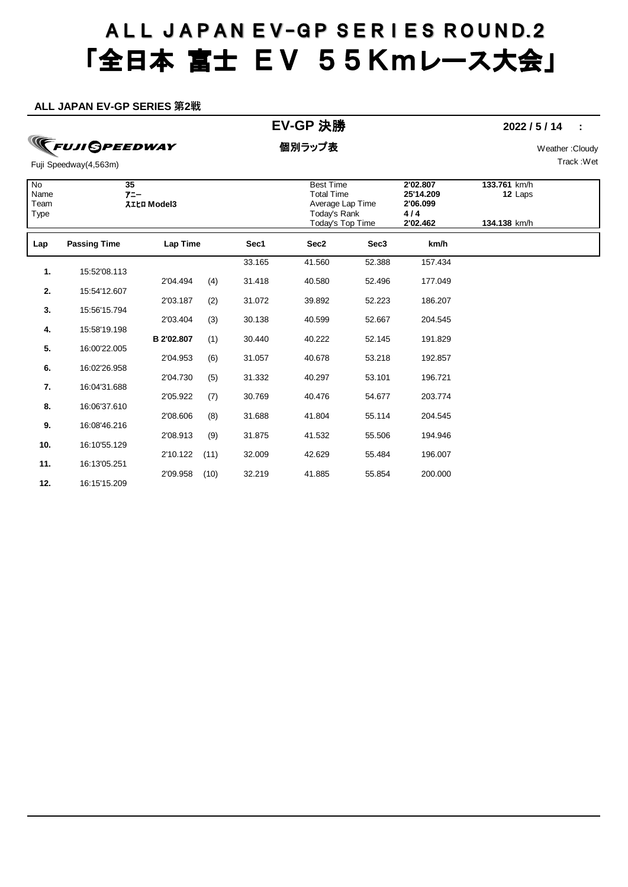#### **ALL JAPAN EV-GP SERIES 第2戦**

### **EV-GP** 決勝 **2022 / 5 / 14 :**

**TFUJI GPEEDWAY** 

個別ラップ表 Weather :Cloudy

Track :Wet

| No<br>Name<br>Team<br>Type | 35<br>アニー           | <b>ZILA Model3</b> |      |        | <b>Best Time</b><br><b>Total Time</b><br>Average Lap Time<br>Today's Rank<br>Today's Top Time |                  | 2'02.807<br>25'14.209<br>2'06.099<br>4/4<br>2'02.462 | 133.761 km/h<br>12 Laps<br>134.138 km/h |  |
|----------------------------|---------------------|--------------------|------|--------|-----------------------------------------------------------------------------------------------|------------------|------------------------------------------------------|-----------------------------------------|--|
| Lap                        | <b>Passing Time</b> | Lap Time           |      | Sec1   | Sec2                                                                                          | Sec <sub>3</sub> | km/h                                                 |                                         |  |
| 1.                         | 15:52'08.113        |                    |      | 33.165 | 41.560                                                                                        | 52.388           | 157.434                                              |                                         |  |
| 2.                         | 15:54'12.607        | 2'04.494           | (4)  | 31.418 | 40.580                                                                                        | 52.496           | 177.049                                              |                                         |  |
|                            |                     | 2'03.187           | (2)  | 31.072 | 39.892                                                                                        | 52.223           | 186.207                                              |                                         |  |
| 3.                         | 15:56'15.794        | 2'03.404           | (3)  | 30.138 | 40.599                                                                                        | 52.667           | 204.545                                              |                                         |  |
| 4.                         | 15:58'19.198        | B 2'02.807         | (1)  | 30.440 | 40.222                                                                                        | 52.145           | 191.829                                              |                                         |  |
| 5.                         | 16:00'22.005        | 2'04.953           | (6)  | 31.057 | 40.678                                                                                        | 53.218           | 192.857                                              |                                         |  |
| 6.                         | 16:02'26.958        | 2'04.730           | (5)  | 31.332 | 40.297                                                                                        | 53.101           | 196.721                                              |                                         |  |
| 7.                         | 16:04'31.688        | 2'05.922           | (7)  | 30.769 | 40.476                                                                                        | 54.677           | 203.774                                              |                                         |  |
| 8.                         | 16:06'37.610        |                    |      |        |                                                                                               |                  |                                                      |                                         |  |
| 9.                         | 16:08'46.216        | 2'08.606           | (8)  | 31.688 | 41.804                                                                                        | 55.114           | 204.545                                              |                                         |  |
| 10.                        | 16:10'55.129        | 2'08.913           | (9)  | 31.875 | 41.532                                                                                        | 55.506           | 194.946                                              |                                         |  |
| 11.                        | 16:13'05.251        | 2'10.122           | (11) | 32.009 | 42.629                                                                                        | 55.484           | 196.007                                              |                                         |  |
| 12.                        | 16:15'15.209        | 2'09.958           | (10) | 32.219 | 41.885                                                                                        | 55.854           | 200.000                                              |                                         |  |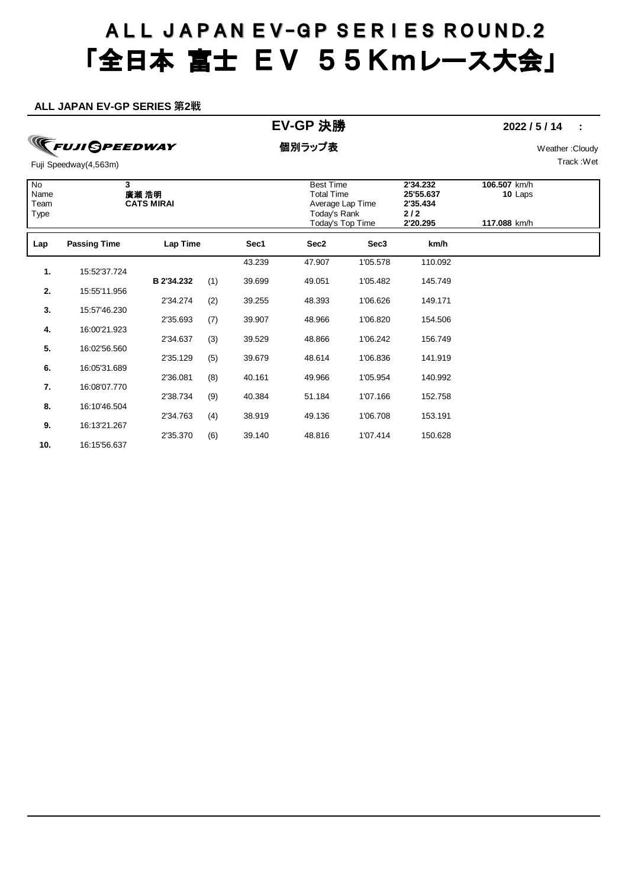#### **ALL JAPAN EV-GP SERIES 第2戦**

### **EV-GP** 決勝 **2022 / 5 / 14 :**

**TFUJI GPEEDWAY** 

個別ラップ表 Weather :Cloudy

Track :Wet

| N <sub>o</sub><br>Name<br>Team<br>Type | 3                   | 廣瀬 浩明<br><b>CATS MIRAI</b> |     |        | <b>Best Time</b><br><b>Total Time</b><br>Average Lap Time<br>Today's Rank<br>Today's Top Time |                  | 2'34.232<br>25'55.637<br>2'35.434<br>2/2<br>2'20.295 | 106.507 km/h<br>10 Laps<br>117.088 km/h |  |
|----------------------------------------|---------------------|----------------------------|-----|--------|-----------------------------------------------------------------------------------------------|------------------|------------------------------------------------------|-----------------------------------------|--|
| Lap                                    | <b>Passing Time</b> | Lap Time                   |     | Sec1   | Sec2                                                                                          | Sec <sub>3</sub> | km/h                                                 |                                         |  |
| 1.                                     | 15:52'37.724        |                            |     | 43.239 | 47.907                                                                                        | 1'05.578         | 110.092                                              |                                         |  |
|                                        |                     | B 2'34.232                 | (1) | 39.699 | 49.051                                                                                        | 1'05.482         | 145.749                                              |                                         |  |
| 2.                                     | 15:55'11.956        | 2'34.274                   |     | 39.255 | 48.393                                                                                        | 1'06.626         | 149.171                                              |                                         |  |
| 3.                                     | 15:57'46.230        |                            | (2) |        |                                                                                               |                  |                                                      |                                         |  |
| 4.                                     | 16:00'21.923        | 2'35.693                   | (7) | 39.907 | 48.966                                                                                        | 1'06.820         | 154.506                                              |                                         |  |
|                                        |                     | 2'34.637                   | (3) | 39.529 | 48.866                                                                                        | 1'06.242         | 156.749                                              |                                         |  |
| 5.                                     | 16:02'56.560        | 2'35.129                   | (5) | 39.679 | 48.614                                                                                        | 1'06.836         | 141.919                                              |                                         |  |
| 6.                                     | 16:05'31.689        |                            |     |        |                                                                                               |                  |                                                      |                                         |  |
| 7.                                     | 16:08'07.770        | 2'36.081                   | (8) | 40.161 | 49.966                                                                                        | 1'05.954         | 140.992                                              |                                         |  |
|                                        |                     | 2'38.734                   | (9) | 40.384 | 51.184                                                                                        | 1'07.166         | 152.758                                              |                                         |  |
| 8.                                     | 16:10'46.504        | 2'34.763                   | (4) | 38.919 | 49.136                                                                                        | 1'06.708         | 153.191                                              |                                         |  |
| 9.                                     | 16:13'21.267        |                            |     |        |                                                                                               |                  |                                                      |                                         |  |
| 10.                                    | 16:15'56.637        | 2'35.370                   | (6) | 39.140 | 48.816                                                                                        | 1'07.414         | 150.628                                              |                                         |  |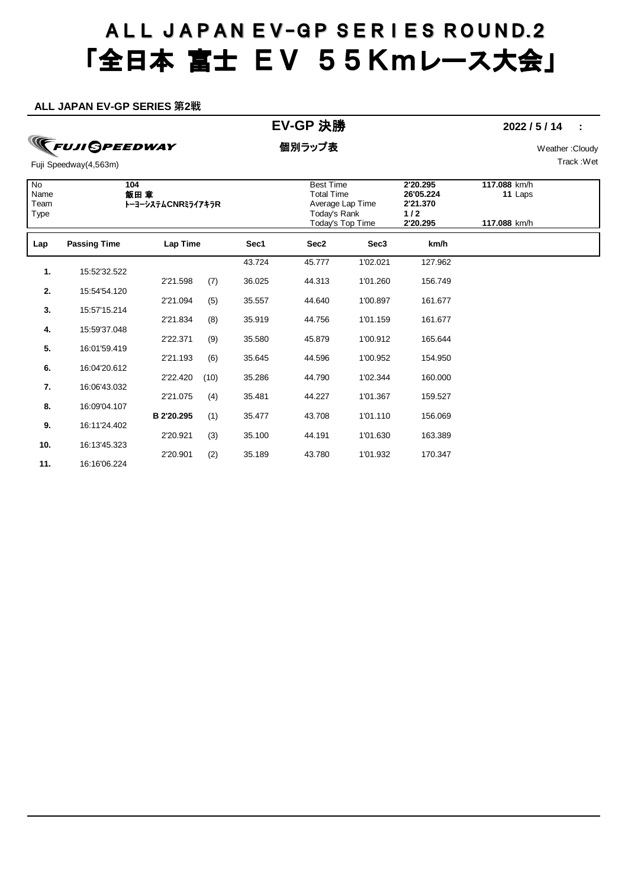#### **ALL JAPAN EV-GP SERIES 第2戦**

### **EV-GP** 決勝 **2022 / 5 / 14 :**

**TFUJI GPEEDWAY** 

個別ラップ表 Weather :Cloudy

Track :Wet

| No<br>Name<br>Team<br>Type | 104<br>飯田 章         | トーヨーシステムCNRミライアキラR |      |        | <b>Best Time</b><br><b>Total Time</b><br>Average Lap Time<br>Today's Rank<br>Today's Top Time |                  | 2'20.295<br>26'05.224<br>2'21.370<br>$1/2$<br>2'20.295 | 117.088 km/h<br>11 Laps<br>117.088 km/h |  |
|----------------------------|---------------------|--------------------|------|--------|-----------------------------------------------------------------------------------------------|------------------|--------------------------------------------------------|-----------------------------------------|--|
| Lap                        | <b>Passing Time</b> | Lap Time           |      | Sec1   | Sec2                                                                                          | Sec <sub>3</sub> | km/h                                                   |                                         |  |
| 1.                         | 15:52'32.522        |                    |      | 43.724 | 45.777                                                                                        | 1'02.021         | 127.962                                                |                                         |  |
|                            |                     | 2'21.598           | (7)  | 36.025 | 44.313                                                                                        | 1'01.260         | 156.749                                                |                                         |  |
| 2.                         | 15:54'54.120        | 2'21.094           | (5)  | 35.557 | 44.640                                                                                        | 1'00.897         | 161.677                                                |                                         |  |
| 3.                         | 15:57'15.214        | 2'21.834           | (8)  | 35.919 | 44.756                                                                                        | 1'01.159         | 161.677                                                |                                         |  |
| 4.                         | 15:59'37.048        |                    |      |        |                                                                                               |                  |                                                        |                                         |  |
| 5.                         | 16:01'59.419        | 2'22.371           | (9)  | 35.580 | 45.879                                                                                        | 1'00.912         | 165.644                                                |                                         |  |
| 6.                         | 16:04'20.612        | 2'21.193           | (6)  | 35.645 | 44.596                                                                                        | 1'00.952         | 154.950                                                |                                         |  |
|                            |                     | 2'22.420           | (10) | 35.286 | 44.790                                                                                        | 1'02.344         | 160.000                                                |                                         |  |
| 7.                         | 16:06'43.032        | 2'21.075           | (4)  | 35.481 | 44.227                                                                                        | 1'01.367         | 159.527                                                |                                         |  |
| 8.                         | 16:09'04.107        | B 2'20.295         |      | 35.477 | 43.708                                                                                        | 1'01.110         | 156.069                                                |                                         |  |
| 9.                         | 16:11'24.402        |                    | (1)  |        |                                                                                               |                  |                                                        |                                         |  |
| 10.                        | 16:13'45.323        | 2'20.921           | (3)  | 35.100 | 44.191                                                                                        | 1'01.630         | 163.389                                                |                                         |  |
| 11.                        | 16:16'06.224        | 2'20.901           | (2)  | 35.189 | 43.780                                                                                        | 1'01.932         | 170.347                                                |                                         |  |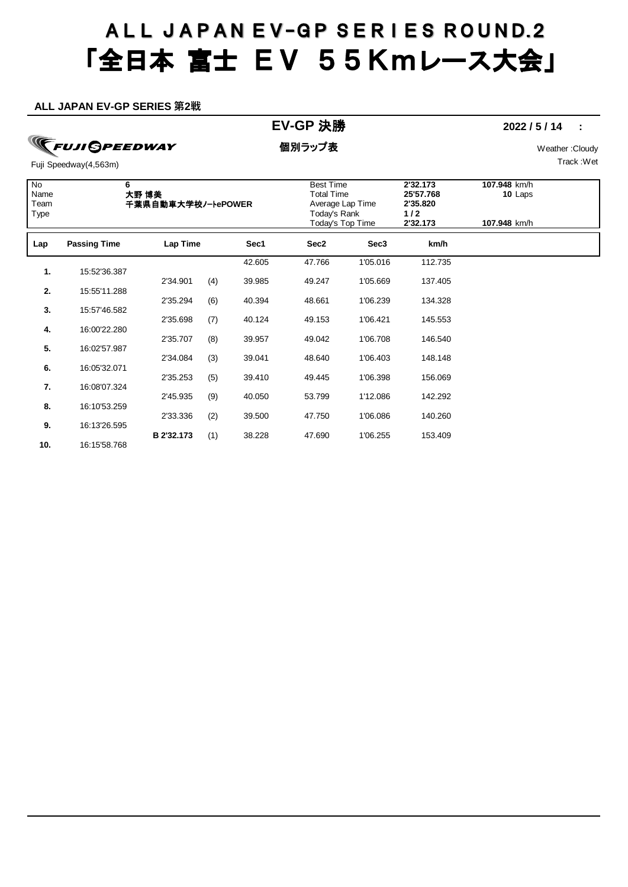#### **ALL JAPAN EV-GP SERIES 第2戦**

### **EV-GP** 決勝 **2022 / 5 / 14 :**

## **TFUJI GPEEDWAY**

個別ラップ表 Weather :Cloudy

Track :Wet

| No<br>Name<br>Team<br>Type | 6                   | 大野 博美<br>千葉県自動車大学校/-トePOWER |     |        | <b>Best Time</b><br><b>Total Time</b><br>Average Lap Time<br>Today's Rank<br>Today's Top Time |                  | 2'32.173<br>25'57.768<br>2'35.820<br>$1/2$<br>2'32.173 | 107.948 km/h<br>10 Laps<br>107.948 km/h |  |
|----------------------------|---------------------|-----------------------------|-----|--------|-----------------------------------------------------------------------------------------------|------------------|--------------------------------------------------------|-----------------------------------------|--|
| Lap                        | <b>Passing Time</b> | Lap Time                    |     | Sec1   | Sec2                                                                                          | Sec <sub>3</sub> | km/h                                                   |                                         |  |
| 1.                         | 15:52'36.387        |                             |     | 42.605 | 47.766                                                                                        | 1'05.016         | 112.735                                                |                                         |  |
|                            |                     | 2'34.901                    | (4) | 39.985 | 49.247                                                                                        | 1'05.669         | 137.405                                                |                                         |  |
| 2.                         | 15:55'11.288        | 2'35.294                    | (6) | 40.394 | 48.661                                                                                        | 1'06.239         | 134.328                                                |                                         |  |
| 3.                         | 15:57'46.582        |                             |     |        |                                                                                               |                  |                                                        |                                         |  |
| 4.                         | 16:00'22.280        | 2'35.698                    | (7) | 40.124 | 49.153                                                                                        | 1'06.421         | 145.553                                                |                                         |  |
| 5.                         | 16:02'57.987        | 2'35.707                    | (8) | 39.957 | 49.042                                                                                        | 1'06.708         | 146.540                                                |                                         |  |
|                            |                     | 2'34.084                    | (3) | 39.041 | 48.640                                                                                        | 1'06.403         | 148.148                                                |                                         |  |
| 6.                         | 16:05'32.071        | 2'35.253                    | (5) | 39.410 | 49.445                                                                                        | 1'06.398         | 156.069                                                |                                         |  |
| 7.                         | 16:08'07.324        |                             |     |        |                                                                                               |                  |                                                        |                                         |  |
| 8.                         | 16:10'53.259        | 2'45.935                    | (9) | 40.050 | 53.799                                                                                        | 1'12.086         | 142.292                                                |                                         |  |
|                            |                     | 2'33.336                    | (2) | 39.500 | 47.750                                                                                        | 1'06.086         | 140.260                                                |                                         |  |
| 9.                         | 16:13'26.595        | B 2'32.173                  | (1) | 38.228 | 47.690                                                                                        | 1'06.255         | 153.409                                                |                                         |  |
| 10.                        | 16:15'58.768        |                             |     |        |                                                                                               |                  |                                                        |                                         |  |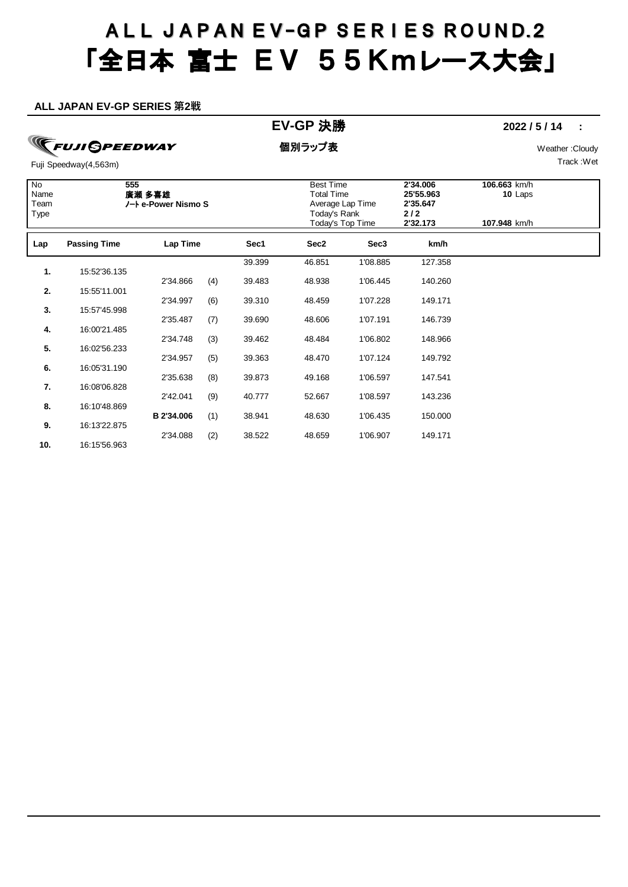#### **ALL JAPAN EV-GP SERIES 第2戦**

### **EV-GP** 決勝 **2022 / 5 / 14 :**

**TFUJI GPEEDWAY** 

個別ラップ表 Weather :Cloudy

Track :Wet

| $\overline{N}$<br>Name<br>Team<br>Type | 555                 | 廣瀬 多喜雄<br>ノート e-Power Nismo S |     |        | <b>Best Time</b><br><b>Total Time</b><br>Average Lap Time<br>Today's Rank<br>Today's Top Time |                  | 2'34.006<br>25'55.963<br>2'35.647<br>$2/2$<br>2'32.173 | 106.663 km/h<br>10 Laps<br>107.948 km/h |  |
|----------------------------------------|---------------------|-------------------------------|-----|--------|-----------------------------------------------------------------------------------------------|------------------|--------------------------------------------------------|-----------------------------------------|--|
| Lap                                    | <b>Passing Time</b> | Lap Time                      |     | Sec1   | Sec2                                                                                          | Sec <sub>3</sub> | km/h                                                   |                                         |  |
| $\mathbf{1}$                           | 15:52'36.135        |                               |     | 39.399 | 46.851                                                                                        | 1'08.885         | 127.358                                                |                                         |  |
|                                        |                     | 2'34.866                      | (4) | 39.483 | 48.938                                                                                        | 1'06.445         | 140.260                                                |                                         |  |
| 2.                                     | 15:55'11.001        | 2'34.997                      | (6) | 39.310 | 48.459                                                                                        | 1'07.228         | 149.171                                                |                                         |  |
| 3.                                     | 15:57'45.998        | 2'35.487                      |     | 39.690 | 48.606                                                                                        | 1'07.191         | 146.739                                                |                                         |  |
| 4.                                     | 16:00'21.485        |                               | (7) |        |                                                                                               |                  |                                                        |                                         |  |
| 5.                                     | 16:02'56.233        | 2'34.748                      | (3) | 39.462 | 48.484                                                                                        | 1'06.802         | 148.966                                                |                                         |  |
|                                        |                     | 2'34.957                      | (5) | 39.363 | 48.470                                                                                        | 1'07.124         | 149.792                                                |                                         |  |
| 6.                                     | 16:05'31.190        | 2'35.638                      | (8) | 39.873 | 49.168                                                                                        | 1'06.597         | 147.541                                                |                                         |  |
| 7.                                     | 16:08'06.828        | 2'42.041                      | (9) | 40.777 | 52.667                                                                                        | 1'08.597         | 143.236                                                |                                         |  |
| 8.                                     | 16:10'48.869        |                               |     |        |                                                                                               |                  |                                                        |                                         |  |
| 9.                                     | 16:13'22.875        | B 2'34.006                    | (1) | 38.941 | 48.630                                                                                        | 1'06.435         | 150.000                                                |                                         |  |
| 10.                                    | 16:15'56.963        | 2'34.088                      | (2) | 38.522 | 48.659                                                                                        | 1'06.907         | 149.171                                                |                                         |  |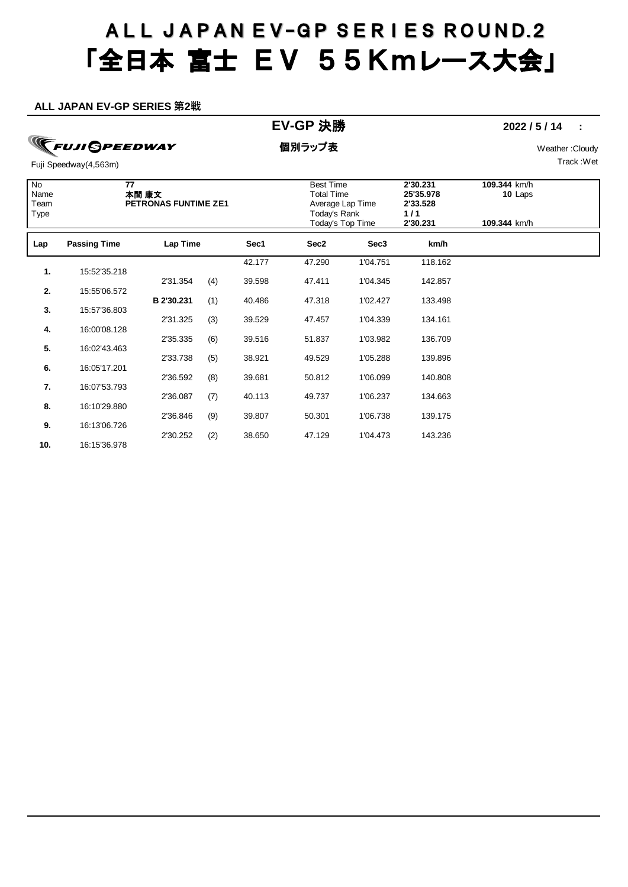#### **ALL JAPAN EV-GP SERIES 第2戦**

### **EV-GP** 決勝 **2022 / 5 / 14 :**

**TFUJI GPEEDWAY** 

個別ラップ表 Weather :Cloudy

Track :Wet

| No<br>Name<br>Team<br>Type | $\overline{77}$     | 本間 康文<br>PETRONAS FUNTIME ZE1 |     |        | <b>Best Time</b><br><b>Total Time</b><br>Average Lap Time<br>Today's Rank<br><b>Today's Top Time</b> |                  | 2'30.231<br>25'35.978<br>2'33.528<br>1/1<br>2'30.231 | 109.344 km/h<br>10 Laps<br>109.344 km/h |  |
|----------------------------|---------------------|-------------------------------|-----|--------|------------------------------------------------------------------------------------------------------|------------------|------------------------------------------------------|-----------------------------------------|--|
| Lap                        | <b>Passing Time</b> | Lap Time                      |     | Sec1   | Sec2                                                                                                 | Sec <sub>3</sub> | km/h                                                 |                                         |  |
| 1.                         | 15:52'35.218        |                               |     | 42.177 | 47.290                                                                                               | 1'04.751         | 118.162                                              |                                         |  |
|                            |                     | 2'31.354                      | (4) | 39.598 | 47.411                                                                                               | 1'04.345         | 142.857                                              |                                         |  |
| 2.                         | 15:55'06.572        | B 2'30.231                    | (1) | 40.486 | 47.318                                                                                               | 1'02.427         | 133.498                                              |                                         |  |
| 3.                         | 15:57'36.803        |                               |     |        |                                                                                                      |                  |                                                      |                                         |  |
| 4.                         | 16:00'08.128        | 2'31.325                      | (3) | 39.529 | 47.457                                                                                               | 1'04.339         | 134.161                                              |                                         |  |
|                            |                     | 2'35.335                      | (6) | 39.516 | 51.837                                                                                               | 1'03.982         | 136.709                                              |                                         |  |
| 5.                         | 16:02'43.463        | 2'33.738                      | (5) | 38.921 | 49.529                                                                                               | 1'05.288         | 139.896                                              |                                         |  |
| 6.                         | 16:05'17.201        |                               |     |        |                                                                                                      |                  |                                                      |                                         |  |
| 7.                         | 16:07'53.793        | 2'36.592                      | (8) | 39.681 | 50.812                                                                                               | 1'06.099         | 140.808                                              |                                         |  |
| 8.                         | 16:10'29.880        | 2'36.087                      | (7) | 40.113 | 49.737                                                                                               | 1'06.237         | 134.663                                              |                                         |  |
|                            |                     | 2'36.846                      | (9) | 39.807 | 50.301                                                                                               | 1'06.738         | 139.175                                              |                                         |  |
| 9.                         | 16:13'06.726        | 2'30.252                      | (2) | 38.650 | 47.129                                                                                               | 1'04.473         | 143.236                                              |                                         |  |
| 10.                        | 16:15'36.978        |                               |     |        |                                                                                                      |                  |                                                      |                                         |  |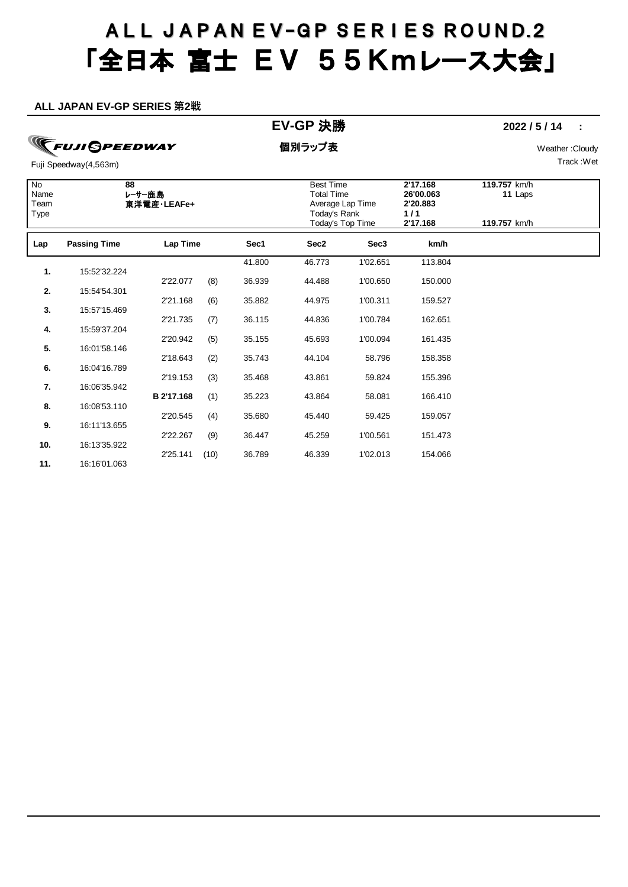#### **ALL JAPAN EV-GP SERIES 第2戦**

### **EV-GP** 決勝 **2022 / 5 / 14 :**

**TFUJI GPEEDWAY** 

個別ラップ表 Weather :Cloudy

Track :Wet

| $\overline{N}$<br>Name<br>Team<br>Type | 88                  | レーサー鹿島<br>東洋電産·LEAFe+ |      |        | <b>Best Time</b><br><b>Total Time</b><br>Average Lap Time<br>Today's Rank<br>Today's Top Time |                  | 2'17.168<br>26'00.063<br>2'20.883<br>1/1<br>2'17.168 | 119.757 km/h<br>11 Laps<br>119.757 km/h |  |
|----------------------------------------|---------------------|-----------------------|------|--------|-----------------------------------------------------------------------------------------------|------------------|------------------------------------------------------|-----------------------------------------|--|
| Lap                                    | <b>Passing Time</b> | Lap Time              |      | Sec1   | Sec2                                                                                          | Sec <sub>3</sub> | km/h                                                 |                                         |  |
| 1.                                     | 15:52'32.224        |                       |      | 41.800 | 46.773                                                                                        | 1'02.651         | 113.804                                              |                                         |  |
|                                        |                     | 2'22.077              | (8)  | 36.939 | 44.488                                                                                        | 1'00.650         | 150.000                                              |                                         |  |
| 2.                                     | 15:54'54.301        | 2'21.168              | (6)  | 35.882 | 44.975                                                                                        | 1'00.311         | 159.527                                              |                                         |  |
| 3.                                     | 15:57'15.469        |                       |      |        |                                                                                               |                  |                                                      |                                         |  |
| 4.                                     | 15:59'37.204        | 2'21.735              | (7)  | 36.115 | 44.836                                                                                        | 1'00.784         | 162.651                                              |                                         |  |
|                                        |                     | 2'20.942              | (5)  | 35.155 | 45.693                                                                                        | 1'00.094         | 161.435                                              |                                         |  |
| 5.                                     | 16:01'58.146        | 2'18.643              |      | 35.743 | 44.104                                                                                        | 58.796           | 158.358                                              |                                         |  |
| 6.                                     | 16:04'16.789        |                       | (2)  |        |                                                                                               |                  |                                                      |                                         |  |
| 7.                                     | 16:06'35.942        | 2'19.153              | (3)  | 35.468 | 43.861                                                                                        | 59.824           | 155.396                                              |                                         |  |
|                                        |                     | B 2'17.168            | (1)  | 35.223 | 43.864                                                                                        | 58.081           | 166.410                                              |                                         |  |
| 8.                                     | 16:08'53.110        |                       |      |        |                                                                                               |                  |                                                      |                                         |  |
| 9.                                     | 16:11'13.655        | 2'20.545              | (4)  | 35.680 | 45.440                                                                                        | 59.425           | 159.057                                              |                                         |  |
|                                        |                     | 2'22.267              | (9)  | 36.447 | 45.259                                                                                        | 1'00.561         | 151.473                                              |                                         |  |
| 10.                                    | 16:13'35.922        | 2'25.141              | (10) | 36.789 | 46.339                                                                                        | 1'02.013         | 154.066                                              |                                         |  |
| 11.                                    | 16:16'01.063        |                       |      |        |                                                                                               |                  |                                                      |                                         |  |